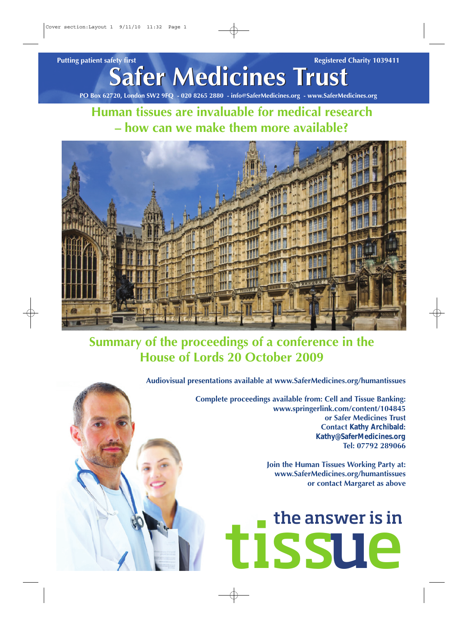### **Safer Medicines Trust Safer Medicines Trust**

**PO Box 62720, London SW2 9FQ - 020 8265 2880 - info@SaferMedicines.org - www.SaferMedicines.org**

#### **Human tissues are invaluable for medical research – how can we make them more available?**



#### **Summary of the proceedings of a conference in the House of Lords 20 October 2009**

**Audiovisual presentations available at www.SaferMedicines.org/humantissues**

**Complete proceedings available from: Cell and Tissue Banking: www.springerlink.com/content/104845 or Safer Medicines Trust Contact Kathy Archibald: Kathy@SaferMedicines.org Tel: 07792 289066**

> **Join the Human Tissues Working Party at: www.SaferMedicines.org/humantissues or contact Margaret as above**

# the answer is in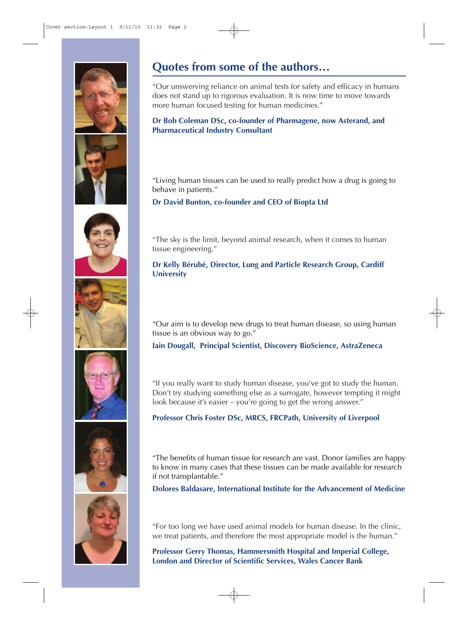



"Our unswerving reliance on animal tests for safety and efficacy in humans does not stand up to rigorous evaluation. It is now time to move towards more human focused testing for human medicines."

#### **Dr Bob Coleman DSc, co-founder of Pharmagene, now Asterand, and Pharmaceutical Industry Consultant**

"Living human tissues can be used to really predict how a drug is going to behave in patients."

**Dr David Bunton, co-founder and CEO of Biopta Ltd**

"The sky is the limit, beyond animal research, when it comes to human tissue engineering."

**Dr Kelly Bérubé, Director, Lung and Particle Research Group, Cardiff University**

"Our aim is to develop new drugs to treat human disease, so using human tissue is an obvious way to go."

**Iain Dougall, Principal Scientist, Discovery BioScience, AstraZeneca** 

"If you really want to study human disease, you've got to study the human. Don't try studying something else as a surrogate, however tempting it might look because it's easier – you're going to get the wrong answer."

#### **Professor Chris Foster DSc, MRCS, FRCPath, University of Liverpool**

"The benefits of human tissue for research are vast. Donor families are happy to know in many cases that these tissues can be made available for research if not transplantable."

**Dolores Baldasare, International Institute for the Advancement of Medicine**

"For too long we have used animal models for human disease. In the clinic, we treat patients, and therefore the most appropriate model is the human."

**Professor Gerry Thomas, Hammersmith Hospital and Imperial College, London and Director of Scientific Services, Wales Cancer Bank**







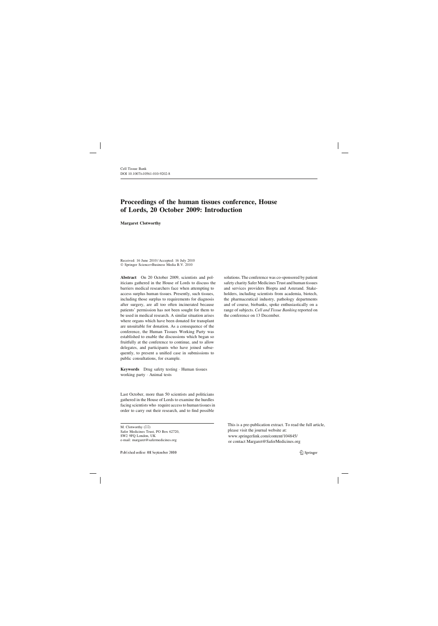#### Proceedings of the human tissues conference, House of Lords, 20 October 2009: Introduction

Margaret Clotworthy

Received: 16 June 2010 / Accepted: 16 July 2010 - Springer Science+Business Media B.V. 2010

Abstract On 20 October 2009, scientists and polbarriers medical researchers face when attempting to access surplus human tissues. Presently, such tissues, including those surplus to requirements for diagnosis after surgery, are all too often incinerated because patients' permission has not been sought for them to be used in medical research. A similar situation arises where organs which have been donated for transplant are unsuitable for donation. As a consequence of the conference, the Human Tissues Working Party was established to enable the discussions which began so fruitfully at the conference to continue, and to allow delegates, and participants who have joined subsequently, to present a unified case in submissions to public consultations, for example. iticians gathered in the House of Lords to discuss the

**Keywords** Drug safety testing · Human tissues working party - Animal tests

Last October, more than 50 scientists and politicians gathered in the House of Lords to examine the hurdles order to carry out their research, and to find possible facing scientists who require access to human tissues in

M. Clotworthy  $(\boxtimes)$ Safer Medicines Trust, PO Box 62720, SW2 9FQ London, UK e-mail: margaret@safermedicines.org

solutions. The conference was co-sponsored by patient safety charity Safer Medicines Trust and human tissues and services providers Biopta and Asterand. Stakeholders, including scientists from academia, biotech, the pharmaceutical industry, pathology departments and of course, biobanks, spoke enthusiastically on a range of subjects. Cell and Tissue Banking reported on the conference on 13 December.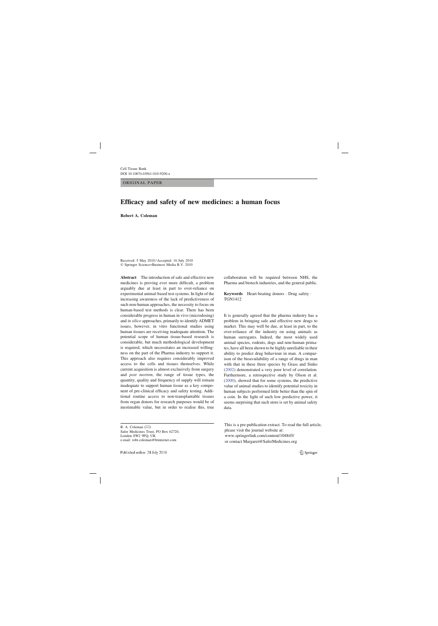ORIGINAL PAPER

#### Efficacy and safety of new medicines: a human focus

Robert A. Coleman

Received: 5 May 2010 / Accepted: 16 July 2010 - Springer Science+Business Media B.V. 2010

Abstract The introduction of safe and effective new medicines is proving ever more difficult, a problem arguably due at least in part to over-reliance on experimental animal-based test systems. In light of the increasing awareness of the lack of predictiveness of such non-human approaches, the necessity to focus on human-based test methods is clear. There has been considerable progress in human in vivo (microdosing) and in silico approaches, primarily to identify ADMET issues, however, in vitro functional studies using human tissues are receiving inadequate attention. The potential scope of human tissue-based research is considerable, but much methodological development is required, which necessitates an increased willingness on the part of the Pharma industry to support it. This approach also requires considerably improved access to the cells and tissues themselves. While current acquisition is almost exclusively from surgery and post mortem, the range of tissue types, the quantity, quality and frequency of supply will remain inadequate to support human tissue as a key component of pre-clinical efficacy and safety testing. Additional routine access to non-transplantable tissues from organ donors for research purposes would be of inestimable value, but in order to realise this, true

R. A. Coleman  $(\boxtimes)$ 

Safer Medicines Trust, PO Box 62720, London SW2 9FQ, UK e-mail: robt.coleman@btinternet.com

collaboration will be required between NHS, the Pharma and biotech industries, and the general public.

Keywords Heart-beating donors - Drug safety - TGN1412

It is generally agreed that the pharma industry has a problem in bringing safe and effective new drugs to market. This may well be due, at least in part, to the over-reliance of the industry on using animals as human surrogates. Indeed, the most widely used animal species, rodents, dogs and non-human primates, have all been shown to be highly unreliable in their ability to predict drug behaviour in man. A comparison of the bioavailability of a range of drugs in man with that in these three species by Grass and Sinko (2002) demonstrated a very poor level of correlation. Furthermore, a retrospective study by Olson et al. (2000), showed that for some systems, the predictive value of animal studies to identify potential toxicity in human subjects performed little better than the spin of a coin. In the light of such low predictive power, it seems surprising that such store is set by animal safety data.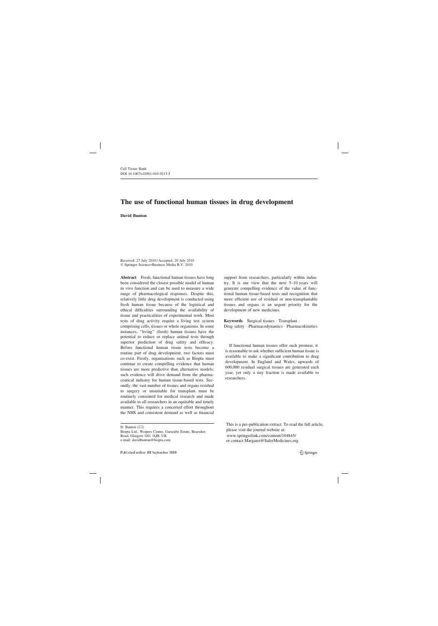#### The use of functional human tissues in drug development

David Bunton

Received: 27 July 2010 / Accepted: 29 July 2010 - Springer Science+Business Media B.V. 2010

Abstract Fresh, functional human tissues have long been considered the closest possible model of human in vivo function and can be used to measure a wide range of pharmacological responses. Despite this, relatively little drug development is conducted using fresh human tissue because of the logistical and ethical difficulties surrounding the availability of tissue and practicalities of experimental work. Most tests of drug activity require a living test system comprising cells, tissues or whole organisms. In some instances, ''living'' (fresh) human tissues have the potential to reduce or replace animal tests through superior prediction of drug safety and efficacy. Before functional human tissue tests become a routine part of drug development, two factors must co-exist. Firstly, organisations such as Biopta must continue to create compelling evidence that human tissues are more predictive than alternative models; such evidence will drive demand from the pharmaceutical industry for human tissue-based tests. Secondly, the vast number of tissues and organs residual to surgery or unsuitable for transplant must be routinely consented for medical research and made available to all researchers in an equitable and timely manner. This requires a concerted effort throughout the NHS and consistent demand as well as financial

D. Bunton  $(\boxtimes)$ 

Biopta Ltd., Weipers Centre, Garscube Estate, Bearsden Road, Glasgow G61 1QH, UK e-mail: davidbunton@biopta.com

support from researchers, particularly within industry. It is our view that the next 5–10 years will generate compelling evidence of the value of functional human tissue-based tests and recognition that more efficient use of residual or non-transplantable tissues and organs is an urgent priority for the development of new medicines.

Keywords Surgical tissues - Transplant - Drug safety - Pharmacodynamics - Pharmacokinetics

is reasonable to ask whether sufficient human tissue is available to make a significant contribution to drug development. In England and Wales, upwards of 600,000 residual surgical tissues are generated each year, yet only a tiny fraction is made available to researchers. If functional human tissues offer such promise, it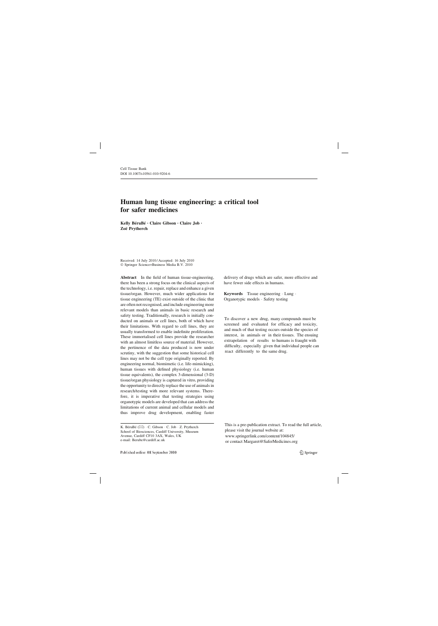#### Human lung tissue engineering: a critical tool for safer medicines

Kelly BéruBé • Claire Gibson • Claire Job • Zoë Prytherch

Received: 14 July 2010 / Accepted: 16 July 2010 - Springer Science+Business Media B.V. 2010

Abstract In the field of human tissue-engineering, there has been a strong focus on the clinical aspects of the technology, i.e. repair, replace and enhance a given tissue/organ. However, much wider applications for tissue engineering (TE) exist outside of the clinic that are often not recognised, and include engineering more relevant models than animals in basic research and safety testing. Traditionally, research is initially conducted on animals or cell lines, both of which have their limitations. With regard to cell lines, they are usually transformed to enable indefinite proliferation. These immortalised cell lines provide the researcher with an almost limitless source of material. However, the pertinence of the data produced is now under scrutiny, with the suggestion that some historical cell lines may not be the cell type originally reported. By engineering normal, biomimetic (i.e. life-mimicking), human tissues with defined physiology (i.e. human tissue equivalents), the complex 3-dimensional (3-D) tissue/organ physiology is captured in vitro, providing the opportunity to directly replace the use of animals in research/testing with more relevant systems. Therefore, it is imperative that testing strategies using organotypic models are developed that can address the limitations of current animal and cellular models and thus improve drug development, enabling faster

Published online: 08 September 2010

delivery of drugs which are safer, more effective and have fewer side effects in humans.

Keywords Tissue engineering - Lung - Organotypic models - Safety testing

To discover a new drug, many compounds must be and much of that testing occurs outside the species of screened and evaluated for efficacy and toxicity, interest, in animals or in their tissues. The ensuing extrapolation of results to humans is fraught with difficulty, especially given that individual people can react differently to the same drug.

K. BéruBé $(\boxtimes)$   $\cdot$  C. Gibson  $\cdot$  C. Job  $\cdot$  Z. Prytherch School of Biosciences, Cardiff University, Museum Avenue, Cardiff CF10 3AX, Wales, UK e-mail: Berube@cardiff.ac.uk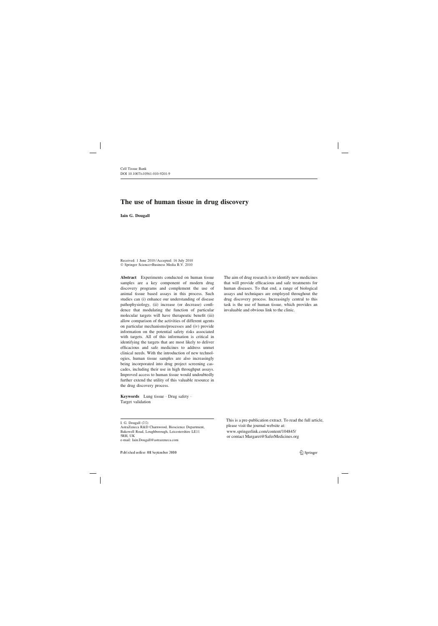#### The use of human tissue in drug discovery

Iain G. Dougall

Received: 1 June 2010/Accepted: 16 July 2010 - Springer Science+Business Media B.V. 2010

Abstract Experiments conducted on human tissue samples are a key component of modern drug discovery programs and complement the use of animal tissue based assays in this process. Such studies can (i) enhance our understanding of disease pathophysiology, (ii) increase (or decrease) confidence that modulating the function of particular molecular targets will have therapeutic benefit (iii) allow comparison of the activities of different agents on particular mechanisms/processes and (iv) provide information on the potential safety risks associated with targets. All of this information is critical in identifying the targets that are most likely to deliver efficacious and safe medicines to address unmet clinical needs. With the introduction of new technologies, human tissue samples are also increasingly being incorporated into drug project screening cascades, including their use in high throughput assays. Improved access to human tissue would undoubtedly further extend the utility of this valuable resource in the drug discovery process.

Keywords Lung tissue - Drug safety - Target validation

AstraZeneca R&D Charnwood, Bioscience Department, Bakewell Road, Loughborough, Leicestershire LE11 5RH, UK e-mail: Iain.Dougall@astrazeneca.com

Published online: 08 September 2010

The aim of drug research is to identify new medicines that will provide efficacious and safe treatments for human diseases. To that end, a range of biological assays and techniques are employed throughout the drug discovery process. Increasingly central to this task is the use of human tissue, which provides an invaluable and obvious link to the clinic.

I. G. Dougall  $(\boxtimes)$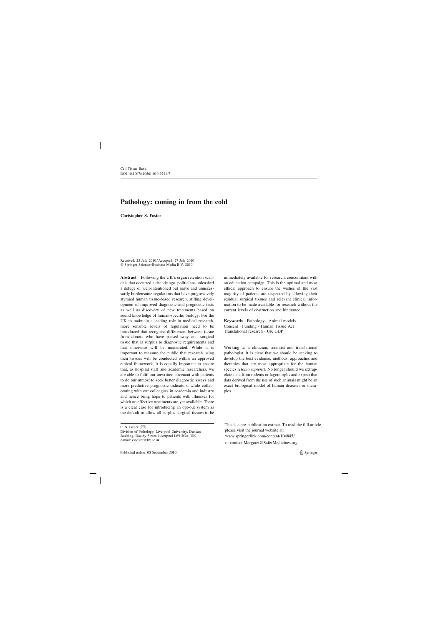#### Pathology: coming in from the cold

Christopher S. Foster

Received: 25 July 2010 / Accepted: 27 July 2010 - Springer Science+Business Media B.V. 2010

Abstract Following the UK's organ retention scandals that occurred a decade ago, politicians unleashed a deluge of well-intentioned but naïve and unnecessarily burdensome regulations that have progressively stymied human tissue-based research, stifling development of improved diagnostic and prognostic tests as well as discovery of new treatments based on sound knowledge of human-specific biology. For the UK to maintain a leading role in medical research, more sensible levels of regulation need to be introduced that recognise differences between tissue from donors who have passed-away and surgical tissue that is surplus to diagnostic requirements and that otherwise will be incinerated. While it is important to reassure the public that research using their tissues will be conducted within an approved ethical framework, it is equally important to ensure that, as hospital staff and academic researchers, we are able to fulfil our unwritten covenant with patients to do our utmost to seek better diagnostic assays and more predictive prognostic indicators, while collaborating with our colleagues in academia and industry and hence bring hope to patients with illnesses for which no effective treatments are yet available. There is a clear case for introducing an opt-out system as the default to allow all surplus surgical tissues to be

C. S. Foster  $(\boxtimes)$ 

Published online: 08 September 2010

immediately available for research, concomitant with an education campaign. This is the optimal and most ethical approach to ensure the wishes of the vast majority of patients are respected by allowing their residual surgical tissues and relevant clinical information to be made available for research without the current levels of obstruction and hindrance.

Keywords Pathology - Animal models - Consent - Funding - Human Tissue Act - Translational research - UK GDP

Working as a clinician, scientist and translational pathologist, it is clear that we should be seeking to develop the best evidence, methods, approaches and therapies that are most appropriate for the human species (Homo sapiens). No longer should we extrapolate data from rodents or lagomorphs and expect that data derived from the use of such animals might be an exact biological model of human diseases or therapies.

Division of Pathology, Liverpool University, Duncan Building, Daulby Street, Liverpool L69 3GA, UK e-mail: csfoster@liv.ac.uk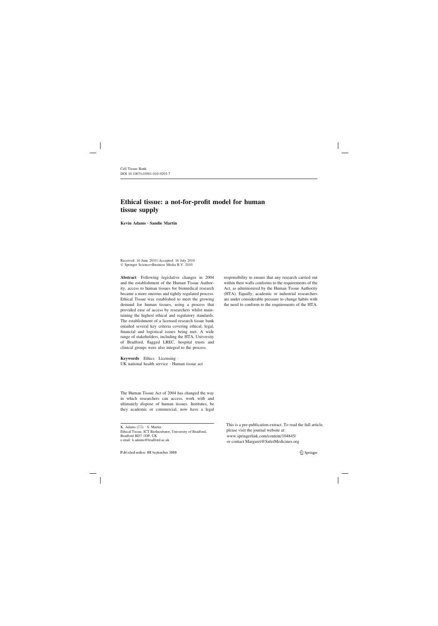#### Ethical tissue: a not-for-profit model for human tissue supply

Kevin Adams • Sandie Martin

Received: 16 June 2010 / Accepted: 16 July 2010 - Springer Science+Business Media B.V. 2010

Abstract Following legislative changes in 2004 and the establishment of the Human Tissue Authority, access to human tissues for biomedical research became a more onerous and tightly regulated process. Ethical Tissue was established to meet the growing demand for human tissues, using a process that provided ease of access by researchers whilst maintaining the highest ethical and regulatory standards. The establishment of a licensed research tissue bank entailed several key criteria covering ethical, legal, financial and logistical issues being met. A wide range of stakeholders, including the HTA, University of Bradford, flagged LREC, hospital trusts and clinical groups were also integral to the process.

Keywords Ethics - Licensing - UK national health service - Human tissue act

The Human Tissue Act of 2004 has changed the way in which researchers can access, work with and ultimately dispose of human tissues. Institutes, be they academic or commercial, now have a legal

K. Adams  $(\boxtimes) \cdot$  S. Martin Ethical Tissue, ICT BioIncubator, University of Bradford, Bradford BD7 1DP, UK e-mail: k.adams@bradford.ac.uk

Published online: 08 September 2010

responsibility to ensure that any research carried out within their walls conforms to the requirements of the Act, as administered by the Human Tissue Authority (HTA). Equally, academic or industrial researchers are under considerable pressure to change habits with the need to conform to the requirements of the HTA.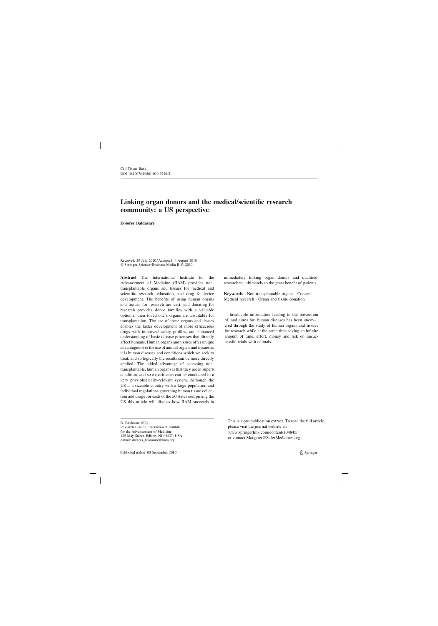#### Linking organ donors and the medical/scientific research community: a US perspective

Dolores Baldasare

Received: 29 July 2010 / Accepted: 4 August 2010 - Springer Science+Business Media B.V. 2010

Abstract The International Institute for the Advancement of Medicine (IIAM) provides nontransplantable organs and tissues for medical and scientific research, education, and drug & device development. The benefits of using human organs and tissues for research are vast, and donating for research provides donor families with a valuable option if their loved one's organs are unsuitable for transplantation. The use of these organs and tissues enables the faster development of more efficacious drugs with improved safety profiles, and enhanced understanding of basic disease processes that directly affect humans. Human organs and tissues offer unique advantages over the use of animal organs and tissues as it is human diseases and conditions which we seek to treat, and so logically the results can be more directly applied. The added advantage of accessing nontransplantable, human organs is that they are in superb condition, and so experiments can be conducted in a very physiologically-relevant system. Although the US is a sizeable country with a large population and individual regulations governing human tissue collection and usage for each of the 50 states comprising the US this article will discuss how IIAM succeeds in

Published online: 08 September 2010

immediately linking organ donors and qualified researchers, ultimately to the great benefit of patients.

Keywords Non-transplantable organs - Consent - Medical research - Organ and tissue donation

Invaluable information leading to the prevention ered through the study of human organs and tissues for research while at the same time saving an infinite amount of time, effort, money and risk on unsuccessful trials with animals. of, and cures for, human diseases has been uncov-

D. Baldasare  $(\boxtimes)$ Research Liaison, International Institute for the Advancement of Medicine, 125 May Street, Edison, NJ 08837, USA e-mail: dolores\_baldasare@iiam.org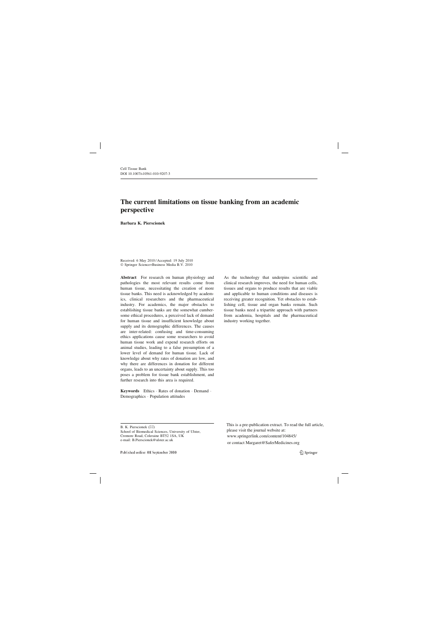#### The current limitations on tissue banking from an academic perspective

Barbara K. Pierscionek

Received: 6 May 2010 / Accepted: 19 July 2010 - Springer Science+Business Media B.V. 2010

Abstract For research on human physiology and pathologies the most relevant results come from human tissue, necessitating the creation of more tissue banks. This need is acknowledged by academics, clinical researchers and the pharmaceutical industry. For academics, the major obstacles to establishing tissue banks are the somewhat cumbersome ethical procedures, a perceived lack of demand for human tissue and insufficient knowledge about supply and its demographic differences. The causes are inter-related: confusing and time-consuming ethics applications cause some researchers to avoid human tissue work and expend research efforts on animal studies, leading to a false presumption of a lower level of demand for human tissue. Lack of knowledge about why rates of donation are low, and why there are differences in donation for different organs, leads to an uncertainty about supply. This too poses a problem for tissue bank establishment, and further research into this area is required.

Keywords Ethics - Rates of donation - Demand - Demographics - Population attitudes

As the technology that underpins scientific and clinical research improves, the need for human cells, tissues and organs to produce results that are viable and applicable to human conditions and diseases is receiving greater recognition. Yet obstacles to establishing cell, tissue and organ banks remain. Such tissue banks need a tripartite approach with partners from academia, hospitals and the pharmaceutical industry working together.

B. K. Pierscionek  $(\boxtimes)$ 

School of Biomedical Sciences, University of Ulster, Cromore Road, Coleraine BT52 1SA, UK e-mail: B.Pierscionek@ulster.ac.uk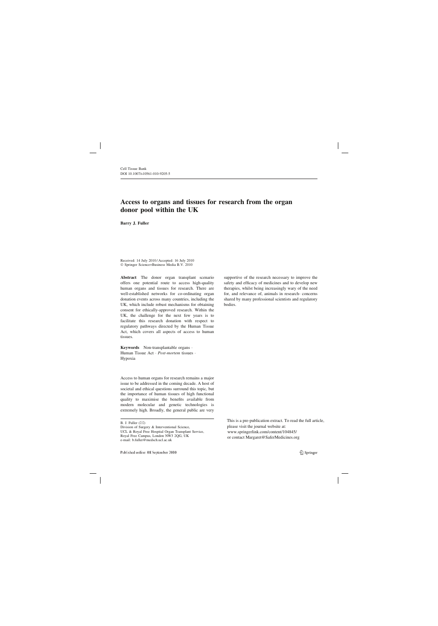#### Access to organs and tissues for research from the organ donor pool within the UK

Barry J. Fuller

Received: 14 July 2010 / Accepted: 16 July 2010 - Springer Science+Business Media B.V. 2010

Abstract The donor organ transplant scenario offers one potential route to access high-quality human organs and tissues for research. There are well-established networks for co-ordinating organ donation events across many countries, including the UK, which include robust mechanisms for obtaining consent for ethically-approved research. Within the UK, the challenge for the next few years is to facilitate this research donation with respect to regulatory pathways directed by the Human Tissue Act, which covers all aspects of access to human tissues.

Keywords Non-transplantable organs - Human Tissue Act · *Post-mortem* tissues · Hypoxia

Access to human organs for research remains a major issue to be addressed in the coming decade. A host of societal and ethical questions surround this topic, but the importance of human tissues of high functional quality to maximise the benefits available from modern molecular and genetic technologies is extremely high. Broadly, the general public are very

supportive of the research necessary to improve the safety and efficacy of medicines and to develop new therapies, whilst being increasingly wary of the need for, and relevance of, animals in research- concerns shared by many professional scientists and regulatory bodies.

B. J. Fuller  $(\boxtimes)$ 

Division of Surgery & Interventional Science, UCL & Royal Free Hospital Organ Transplant Service, Royal Free Campus, London NW3 2QG, UK e-mail: b.fuller@medsch.ucl.ac.uk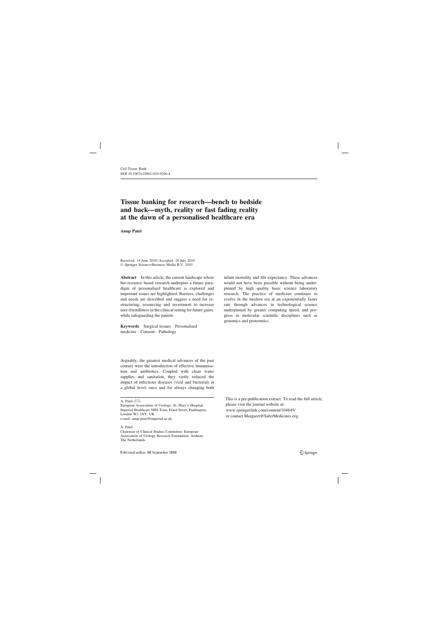#### Tissue banking for research—bench to bedside and back—myth, reality or fast fading reality at the dawn of a personalised healthcare era

Anup Patel

Received: 14 June 2010/Accepted: 18 July 2010 - Springer Science+Business Media B.V. 2010

Abstract In this article, the current landscape where bio-resource based research underpins a future paradigm of personalised healthcare is explored and important issues are highlighted. Barriers, challenges and needs are described and suggest a need for restructuring, resourcing and investment to increase user-friendliness in the clinical setting for future gains, while safeguarding the patient.

Keywords Surgical tissues - Personalised medicine - Consent - Pathology

infant mortality and life expectancy. These advances would not have been possible without being underpinned by high quality basic science laboratory research. The practice of medicine continues to evolve in the modern era at an exponentially faster rate through advances in technological science underpinned by greater computing speed, and progress in molecular scientific disciplines such as genomics and proteomics.

This is a pre-publication extract. To read the full article,

Arguably, the greatest medical advances of the past century were the introduction of effective immunisation and antibiotics. Coupled with clean water supplies and sanitation, they vastly reduced the impact of infectious diseases (viral and bacterial) at a global level, once and for always changing both

or contact Margaret@SaferMedicines.org

please visit the journal website at: www.springerlink.com/content/104845/

A. Patel  $(\boxtimes)$ 

European Association of Urology, St. Mary's Hospital, Imperial Healthcare NHS Trust, Praed Street, Paddington, London W2 1NY, UK e-mail: anup.patel@imperial.ac.uk

A. Patel

Chairman of Clinical Studies Committee, European Association of Urology Research Foundation, Arnhem, The Netherlands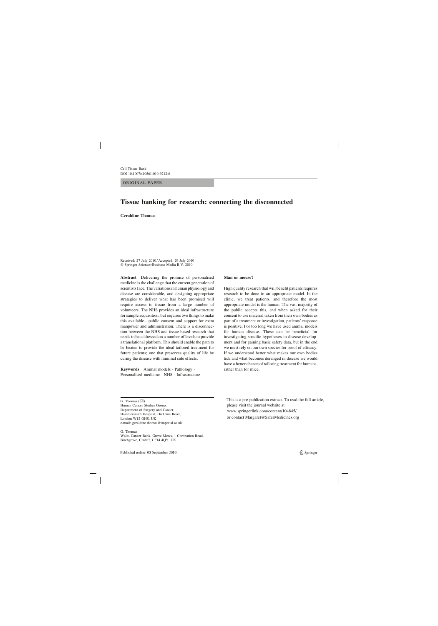ORIGINAL PAPER

#### Tissue banking for research: connecting the disconnected

Geraldine Thomas

Received: 27 July 2010 / Accepted: 29 July 2010 - Springer Science+Business Media B.V. 2010

Abstract Delivering the promise of personalised medicine is the challenge that the current generation of scientists face. The variations in human physiology and disease are considerable, and designing appropriate strategies to deliver what has been promised will require access to tissue from a large number of volunteers. The NHS provides an ideal infrastructure for sample acquisition, but requires two things to make this available—public consent and support for extra manpower and administration. There is a disconnection between the NHS and tissue based research that needs to be addressed on a number of levels to provide a translational platform. This should enable the path to be beaten to provide the ideal tailored treatment for future patients; one that preserves quality of life by curing the disease with minimal side effects.

Keywords Animal models - Pathology - Personalised medicine - NHS - Infrastructure

#### Man or mouse?

High quality research that will benefit patients requires research to be done in an appropriate model. In the clinic, we treat patients, and therefore the most appropriate model is the human. The vast majority of the public accepts this, and when asked for their consent to use material taken from their own bodies as part of a treatment or investigation, patients' response is positive. For too long we have used animal models for human disease. These can be beneficial for investigating specific hypotheses in disease development and for gaining basic safety data, but in the end we must rely on our own species for proof of efficacy. If we understood better what makes our own bodies tick and what becomes deranged in disease we would have a better chance of tailoring treatment for humans, rather than for mice.

G. Thomas  $(\boxtimes)$ 

Human Cancer Studies Group, Department of Surgery and Cancer, Hammersmith Hospital, Du Cane Road, London W12 OHS, UK e-mail: geraldine.thomas@imperial.ac.uk

G. Thomas

Wales Cancer Bank, Grove Mews, 1 Coronation Road, Birchgrove, Cardiff, CF14 4QY, UK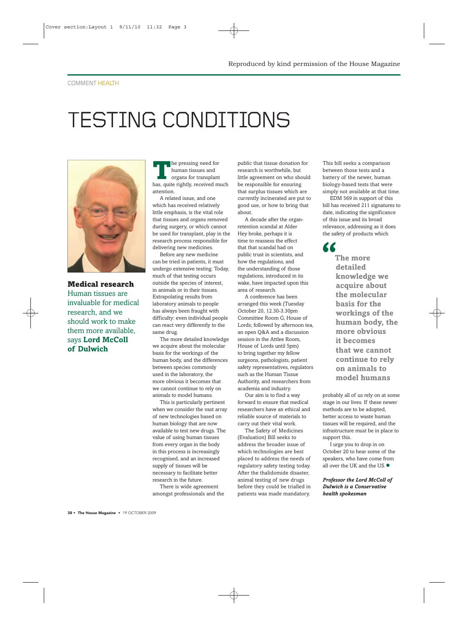### **TESTING CONDITIONS**



**Medical research** Human tissues are invaluable for medical research, and we should work to make them more available, says **Lord McColl of Dulwich**

**T**he pressing need for human tissues and organs for transplant has, quite rightly, received much attention.

A related issue, and one which has received relatively little emphasis, is the vital role that tissues and organs removed during surgery, or which cannot be used for transplant, play in the research process responsible for delivering new medicines.

Before any new medicine can be tried in patients, it must undergo extensive testing. Today, much of that testing occurs outside the species of interest, in animals or in their tissues. Extrapolating results from laboratory animals to people has always been fraught with difficulty: even individual people can react very differently to the same drug.

The more detailed knowledge we acquire about the molecular basis for the workings of the human body, and the differences between species commonly used in the laboratory, the more obvious it becomes that we cannot continue to rely on animals to model humans.

This is particularly pertinent when we consider the vast array of new technologies based on human biology that are now available to test new drugs. The value of using human tissues from every organ in the body in this process is increasingly recognised, and an increased supply of tissues will be necessary to facilitate better research in the future.

There is wide agreement amongst professionals and the public that tissue donation for research is worthwhile, but little agreement on who should be responsible for ensuring that surplus tissues which are currently incinerated are put to good use, or how to bring that about.

A decade after the organretention scandal at Alder Hey broke, perhaps it is time to reassess the effect that that scandal had on public trust in scientists, and how the regulations, and the understanding of those regulations, introduced in its wake, have impacted upon this area of research.

A conference has been arranged this week (Tuesday October 20, 12.30-3.30pm Committee Room G, House of Lords; followed by afternoon tea, an open Q&A and a discussion session in the Attlee Room, House of Lords until 5pm) to bring together my fellow surgeons, pathologists, patient safety representatives, regulators such as the Human Tissue Authority, and researchers from academia and industry.

Our aim is to find a way forward to ensure that medical researchers have an ethical and reliable source of materials to carry out their vital work.

The Safety of Medicines (Evaluation) Bill seeks to address the broader issue of which technologies are best placed to address the needs of regulatory safety testing today. After the thalidomide disaster, animal testing of new drugs before they could be trialled in patients was made mandatory.

This bill seeks a comparison between those tests and a battery of the newer, human biology-based tests that were simply not available at that time.

EDM 569 in support of this bill has received 211 signatures to date, indicating the significance of this issue and its broad relevance, addressing as it does the safety of products which

**" The more detailed knowledge we acquire about the molecular basis for the workings of the human body, the more obvious it becomes that we cannot continue to rely on animals to model humans**

probably all of us rely on at some stage in our lives. If these newer methods are to be adopted, better access to waste human tissues will be required, and the infrastructure must be in place to support this.

I urge you to drop in on October 20 to hear some of the speakers, who have come from all over the UK and the US.**.**

*Professor the Lord McColl of Dulwich is a Conservative health spokesman*